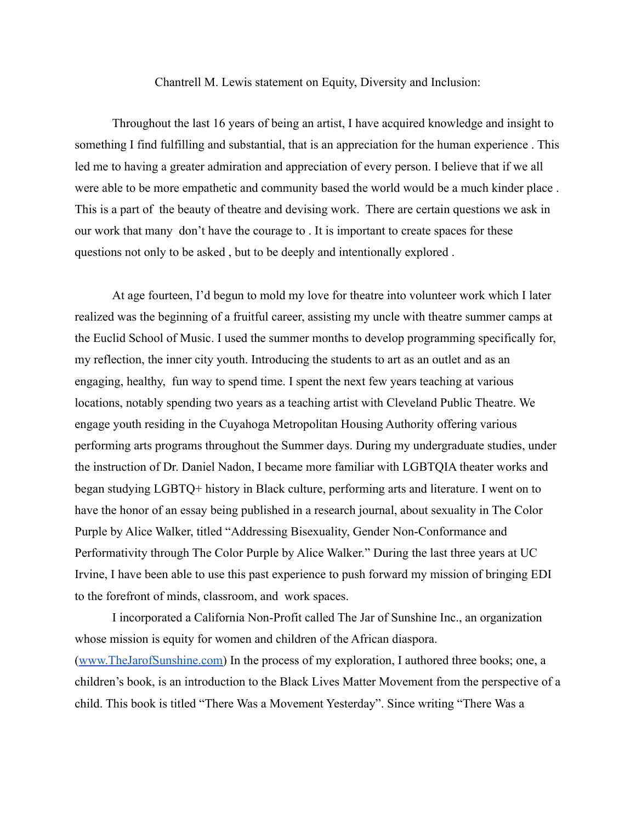## Chantrell M. Lewis statement on Equity, Diversity and Inclusion:

Throughout the last 16 years of being an artist, I have acquired knowledge and insight to something I find fulfilling and substantial, that is an appreciation for the human experience . This led me to having a greater admiration and appreciation of every person. I believe that if we all were able to be more empathetic and community based the world would be a much kinder place . This is a part of the beauty of theatre and devising work. There are certain questions we ask in our work that many don't have the courage to . It is important to create spaces for these questions not only to be asked , but to be deeply and intentionally explored .

At age fourteen, I'd begun to mold my love for theatre into volunteer work which I later realized was the beginning of a fruitful career, assisting my uncle with theatre summer camps at the Euclid School of Music. I used the summer months to develop programming specifically for, my reflection, the inner city youth. Introducing the students to art as an outlet and as an engaging, healthy, fun way to spend time. I spent the next few years teaching at various locations, notably spending two years as a teaching artist with Cleveland Public Theatre. We engage youth residing in the Cuyahoga Metropolitan Housing Authority offering various performing arts programs throughout the Summer days. During my undergraduate studies, under the instruction of Dr. Daniel Nadon, I became more familiar with LGBTQIA theater works and began studying LGBTQ+ history in Black culture, performing arts and literature. I went on to have the honor of an essay being published in a research journal, about sexuality in The Color Purple by Alice Walker, titled "Addressing Bisexuality, Gender Non-Conformance and Performativity through The Color Purple by Alice Walker." During the last three years at UC Irvine, I have been able to use this past experience to push forward my mission of bringing EDI to the forefront of minds, classroom, and work spaces.

I incorporated a California Non-Profit called The Jar of Sunshine Inc., an organization whose mission is equity for women and children of the African diaspora. ([www.TheJarofSunshine.com\)](http://www.thejarofsunshine.com) In the process of my exploration, I authored three books; one, a children's book, is an introduction to the Black Lives Matter Movement from the perspective of a child. This book is titled "There Was a Movement Yesterday". Since writing "There Was a